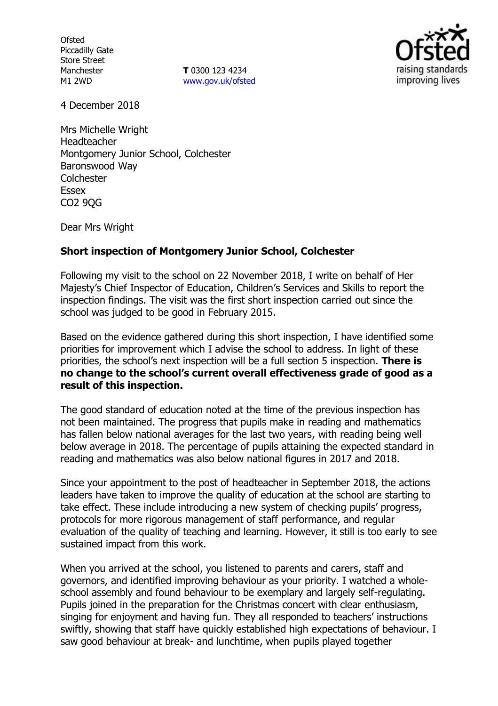**Ofsted** Piccadilly Gate Store Street Manchester M1 2WD

**T** 0300 123 4234 www.gov.uk/ofsted



4 December 2018

Mrs Michelle Wright Headteacher Montgomery Junior School, Colchester Baronswood Way **Colchester Essex** CO2 9QG

Dear Mrs Wright

## **Short inspection of Montgomery Junior School, Colchester**

Following my visit to the school on 22 November 2018, I write on behalf of Her Majesty's Chief Inspector of Education, Children's Services and Skills to report the inspection findings. The visit was the first short inspection carried out since the school was judged to be good in February 2015.

Based on the evidence gathered during this short inspection, I have identified some priorities for improvement which I advise the school to address. In light of these priorities, the school's next inspection will be a full section 5 inspection. **There is no change to the school's current overall effectiveness grade of good as a result of this inspection.**

The good standard of education noted at the time of the previous inspection has not been maintained. The progress that pupils make in reading and mathematics has fallen below national averages for the last two years, with reading being well below average in 2018. The percentage of pupils attaining the expected standard in reading and mathematics was also below national figures in 2017 and 2018.

Since your appointment to the post of headteacher in September 2018, the actions leaders have taken to improve the quality of education at the school are starting to take effect. These include introducing a new system of checking pupils' progress, protocols for more rigorous management of staff performance, and regular evaluation of the quality of teaching and learning. However, it still is too early to see sustained impact from this work.

When you arrived at the school, you listened to parents and carers, staff and governors, and identified improving behaviour as your priority. I watched a wholeschool assembly and found behaviour to be exemplary and largely self-regulating. Pupils joined in the preparation for the Christmas concert with clear enthusiasm, singing for enjoyment and having fun. They all responded to teachers' instructions swiftly, showing that staff have quickly established high expectations of behaviour. I saw good behaviour at break- and lunchtime, when pupils played together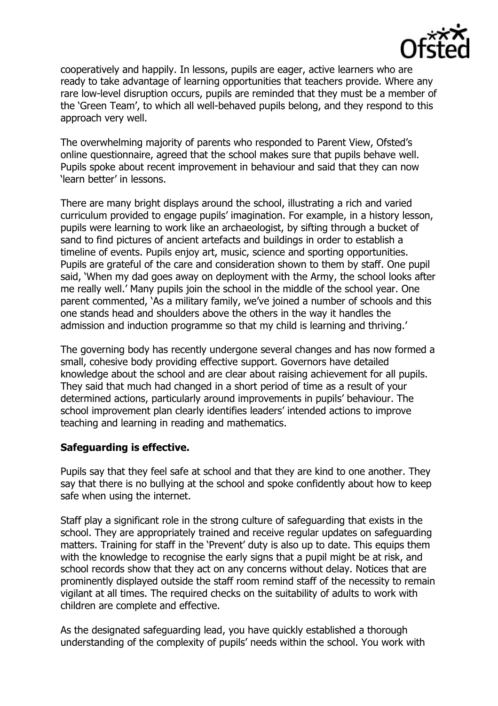

cooperatively and happily. In lessons, pupils are eager, active learners who are ready to take advantage of learning opportunities that teachers provide. Where any rare low-level disruption occurs, pupils are reminded that they must be a member of the 'Green Team', to which all well-behaved pupils belong, and they respond to this approach very well.

The overwhelming majority of parents who responded to Parent View, Ofsted's online questionnaire, agreed that the school makes sure that pupils behave well. Pupils spoke about recent improvement in behaviour and said that they can now 'learn better' in lessons.

There are many bright displays around the school, illustrating a rich and varied curriculum provided to engage pupils' imagination. For example, in a history lesson, pupils were learning to work like an archaeologist, by sifting through a bucket of sand to find pictures of ancient artefacts and buildings in order to establish a timeline of events. Pupils enjoy art, music, science and sporting opportunities. Pupils are grateful of the care and consideration shown to them by staff. One pupil said, 'When my dad goes away on deployment with the Army, the school looks after me really well.' Many pupils join the school in the middle of the school year. One parent commented, 'As a military family, we've joined a number of schools and this one stands head and shoulders above the others in the way it handles the admission and induction programme so that my child is learning and thriving.'

The governing body has recently undergone several changes and has now formed a small, cohesive body providing effective support. Governors have detailed knowledge about the school and are clear about raising achievement for all pupils. They said that much had changed in a short period of time as a result of your determined actions, particularly around improvements in pupils' behaviour. The school improvement plan clearly identifies leaders' intended actions to improve teaching and learning in reading and mathematics.

## **Safeguarding is effective.**

Pupils say that they feel safe at school and that they are kind to one another. They say that there is no bullying at the school and spoke confidently about how to keep safe when using the internet.

Staff play a significant role in the strong culture of safeguarding that exists in the school. They are appropriately trained and receive regular updates on safeguarding matters. Training for staff in the 'Prevent' duty is also up to date. This equips them with the knowledge to recognise the early signs that a pupil might be at risk, and school records show that they act on any concerns without delay. Notices that are prominently displayed outside the staff room remind staff of the necessity to remain vigilant at all times. The required checks on the suitability of adults to work with children are complete and effective.

As the designated safeguarding lead, you have quickly established a thorough understanding of the complexity of pupils' needs within the school. You work with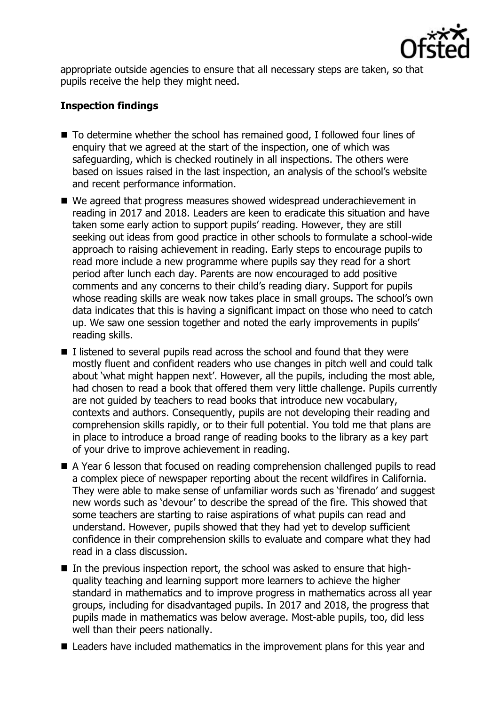

appropriate outside agencies to ensure that all necessary steps are taken, so that pupils receive the help they might need.

# **Inspection findings**

- To determine whether the school has remained good, I followed four lines of enquiry that we agreed at the start of the inspection, one of which was safeguarding, which is checked routinely in all inspections. The others were based on issues raised in the last inspection, an analysis of the school's website and recent performance information.
- We agreed that progress measures showed widespread underachievement in reading in 2017 and 2018. Leaders are keen to eradicate this situation and have taken some early action to support pupils' reading. However, they are still seeking out ideas from good practice in other schools to formulate a school-wide approach to raising achievement in reading. Early steps to encourage pupils to read more include a new programme where pupils say they read for a short period after lunch each day. Parents are now encouraged to add positive comments and any concerns to their child's reading diary. Support for pupils whose reading skills are weak now takes place in small groups. The school's own data indicates that this is having a significant impact on those who need to catch up. We saw one session together and noted the early improvements in pupils' reading skills.
- $\blacksquare$  I listened to several pupils read across the school and found that they were mostly fluent and confident readers who use changes in pitch well and could talk about 'what might happen next'. However, all the pupils, including the most able, had chosen to read a book that offered them very little challenge. Pupils currently are not guided by teachers to read books that introduce new vocabulary, contexts and authors. Consequently, pupils are not developing their reading and comprehension skills rapidly, or to their full potential. You told me that plans are in place to introduce a broad range of reading books to the library as a key part of your drive to improve achievement in reading.
- A Year 6 lesson that focused on reading comprehension challenged pupils to read a complex piece of newspaper reporting about the recent wildfires in California. They were able to make sense of unfamiliar words such as 'firenado' and suggest new words such as 'devour' to describe the spread of the fire. This showed that some teachers are starting to raise aspirations of what pupils can read and understand. However, pupils showed that they had yet to develop sufficient confidence in their comprehension skills to evaluate and compare what they had read in a class discussion.
- In the previous inspection report, the school was asked to ensure that highquality teaching and learning support more learners to achieve the higher standard in mathematics and to improve progress in mathematics across all year groups, including for disadvantaged pupils. In 2017 and 2018, the progress that pupils made in mathematics was below average. Most-able pupils, too, did less well than their peers nationally.
- Leaders have included mathematics in the improvement plans for this year and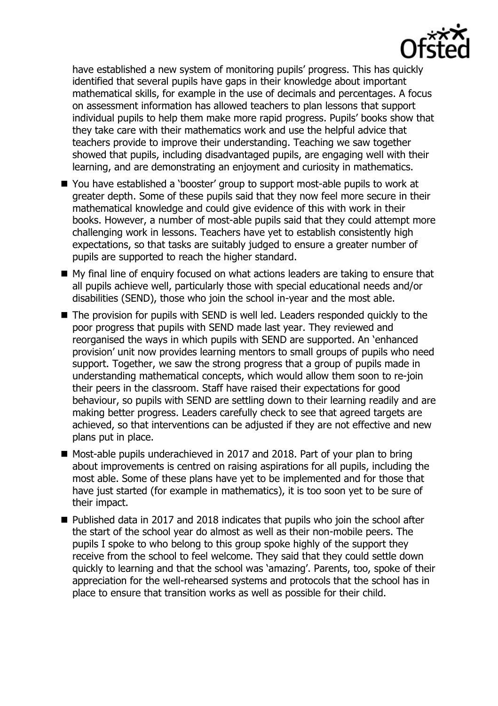

have established a new system of monitoring pupils' progress. This has quickly identified that several pupils have gaps in their knowledge about important mathematical skills, for example in the use of decimals and percentages. A focus on assessment information has allowed teachers to plan lessons that support individual pupils to help them make more rapid progress. Pupils' books show that they take care with their mathematics work and use the helpful advice that teachers provide to improve their understanding. Teaching we saw together showed that pupils, including disadvantaged pupils, are engaging well with their learning, and are demonstrating an enjoyment and curiosity in mathematics.

- You have established a 'booster' group to support most-able pupils to work at greater depth. Some of these pupils said that they now feel more secure in their mathematical knowledge and could give evidence of this with work in their books. However, a number of most-able pupils said that they could attempt more challenging work in lessons. Teachers have yet to establish consistently high expectations, so that tasks are suitably judged to ensure a greater number of pupils are supported to reach the higher standard.
- My final line of enquiry focused on what actions leaders are taking to ensure that all pupils achieve well, particularly those with special educational needs and/or disabilities (SEND), those who join the school in-year and the most able.
- The provision for pupils with SEND is well led. Leaders responded quickly to the poor progress that pupils with SEND made last year. They reviewed and reorganised the ways in which pupils with SEND are supported. An 'enhanced provision' unit now provides learning mentors to small groups of pupils who need support. Together, we saw the strong progress that a group of pupils made in understanding mathematical concepts, which would allow them soon to re-join their peers in the classroom. Staff have raised their expectations for good behaviour, so pupils with SEND are settling down to their learning readily and are making better progress. Leaders carefully check to see that agreed targets are achieved, so that interventions can be adjusted if they are not effective and new plans put in place.
- Most-able pupils underachieved in 2017 and 2018. Part of your plan to bring about improvements is centred on raising aspirations for all pupils, including the most able. Some of these plans have yet to be implemented and for those that have just started (for example in mathematics), it is too soon yet to be sure of their impact.
- $\blacksquare$  Published data in 2017 and 2018 indicates that pupils who join the school after the start of the school year do almost as well as their non-mobile peers. The pupils I spoke to who belong to this group spoke highly of the support they receive from the school to feel welcome. They said that they could settle down quickly to learning and that the school was 'amazing'. Parents, too, spoke of their appreciation for the well-rehearsed systems and protocols that the school has in place to ensure that transition works as well as possible for their child.